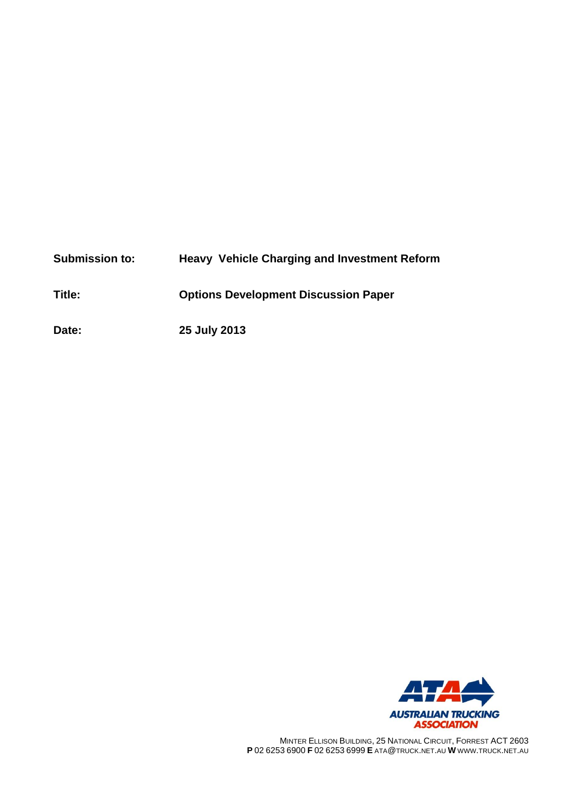| <b>Submission to:</b> | <b>Heavy Vehicle Charging and Investment Reform</b> |
|-----------------------|-----------------------------------------------------|
| Title:                | <b>Options Development Discussion Paper</b>         |
| Date:                 | 25 July 2013                                        |



MINTER ELLISON BUILDING, 25 NATIONAL CIRCUIT, FORREST ACT 2603 **P** 02 6253 6900 **F** 02 6253 6999 **E** ATA@TRUCK.NET.AU **W** WWW.TRUCK.NET.AU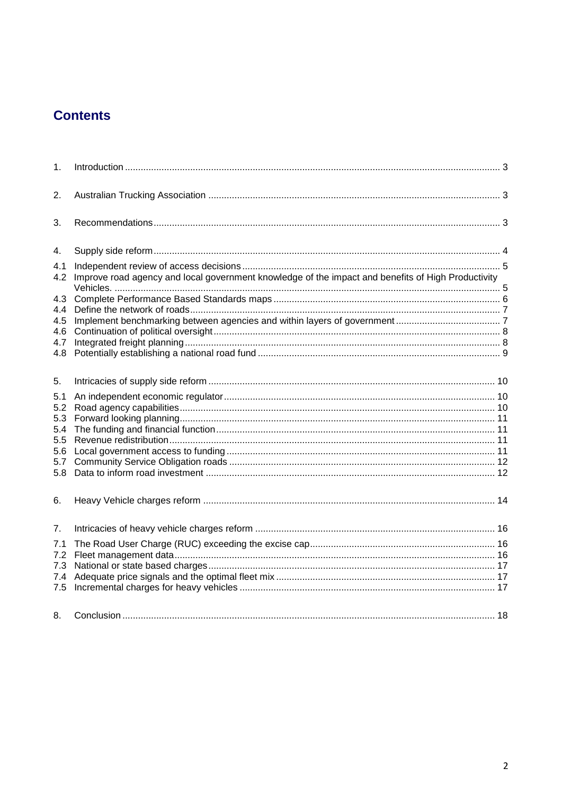# **Contents**

| 1.         |                                                                                                    |  |
|------------|----------------------------------------------------------------------------------------------------|--|
| 2.         |                                                                                                    |  |
| 3.         |                                                                                                    |  |
| 4.         |                                                                                                    |  |
| 4.1<br>4.2 | Improve road agency and local government knowledge of the impact and benefits of High Productivity |  |
| 4.3        |                                                                                                    |  |
| 4.4        |                                                                                                    |  |
| 4.5        |                                                                                                    |  |
| 4.6        |                                                                                                    |  |
| 4.7        |                                                                                                    |  |
| 4.8        |                                                                                                    |  |
| 5.         |                                                                                                    |  |
| 5.1        |                                                                                                    |  |
| 5.2        |                                                                                                    |  |
| 5.3        |                                                                                                    |  |
| 5.4        |                                                                                                    |  |
| 5.5        |                                                                                                    |  |
| 5.6<br>5.7 |                                                                                                    |  |
| 5.8        |                                                                                                    |  |
|            |                                                                                                    |  |
| 6.         |                                                                                                    |  |
| 7.         |                                                                                                    |  |
| 7.1        |                                                                                                    |  |
| 7.2        |                                                                                                    |  |
| 7.3        |                                                                                                    |  |
| 7.4        |                                                                                                    |  |
| 7.5        |                                                                                                    |  |
| 8.         |                                                                                                    |  |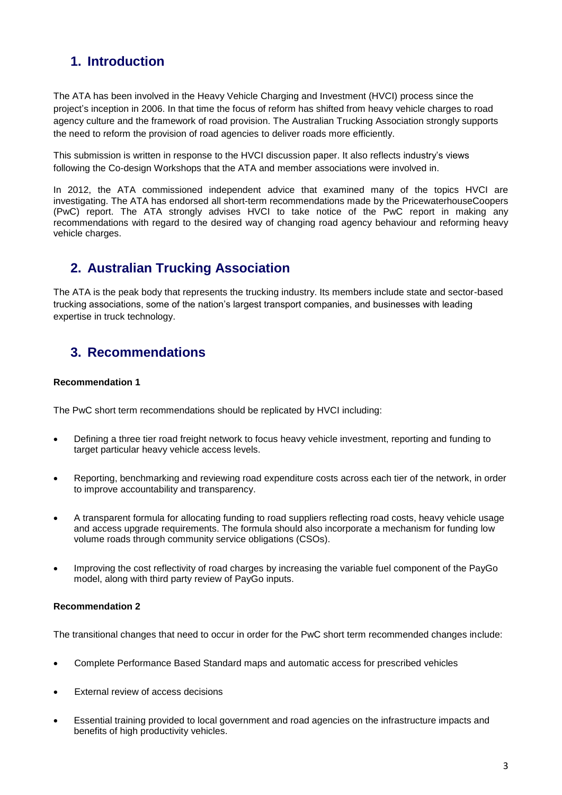## **1. Introduction**

The ATA has been involved in the Heavy Vehicle Charging and Investment (HVCI) process since the project's inception in 2006. In that time the focus of reform has shifted from heavy vehicle charges to road agency culture and the framework of road provision. The Australian Trucking Association strongly supports the need to reform the provision of road agencies to deliver roads more efficiently.

This submission is written in response to the HVCI discussion paper. It also reflects industry's views following the Co-design Workshops that the ATA and member associations were involved in.

In 2012, the ATA commissioned independent advice that examined many of the topics HVCI are investigating. The ATA has endorsed all short-term recommendations made by the PricewaterhouseCoopers (PwC) report. The ATA strongly advises HVCI to take notice of the PwC report in making any recommendations with regard to the desired way of changing road agency behaviour and reforming heavy vehicle charges.

## **2. Australian Trucking Association**

The ATA is the peak body that represents the trucking industry. Its members include state and sector-based trucking associations, some of the nation's largest transport companies, and businesses with leading expertise in truck technology.

## **3. Recommendations**

#### **Recommendation 1**

The PwC short term recommendations should be replicated by HVCI including:

- Defining a three tier road freight network to focus heavy vehicle investment, reporting and funding to target particular heavy vehicle access levels.
- Reporting, benchmarking and reviewing road expenditure costs across each tier of the network, in order to improve accountability and transparency.
- A transparent formula for allocating funding to road suppliers reflecting road costs, heavy vehicle usage and access upgrade requirements. The formula should also incorporate a mechanism for funding low volume roads through community service obligations (CSOs).
- Improving the cost reflectivity of road charges by increasing the variable fuel component of the PayGo model, along with third party review of PayGo inputs.

#### **Recommendation 2**

The transitional changes that need to occur in order for the PwC short term recommended changes include:

- Complete Performance Based Standard maps and automatic access for prescribed vehicles
- External review of access decisions
- Essential training provided to local government and road agencies on the infrastructure impacts and benefits of high productivity vehicles.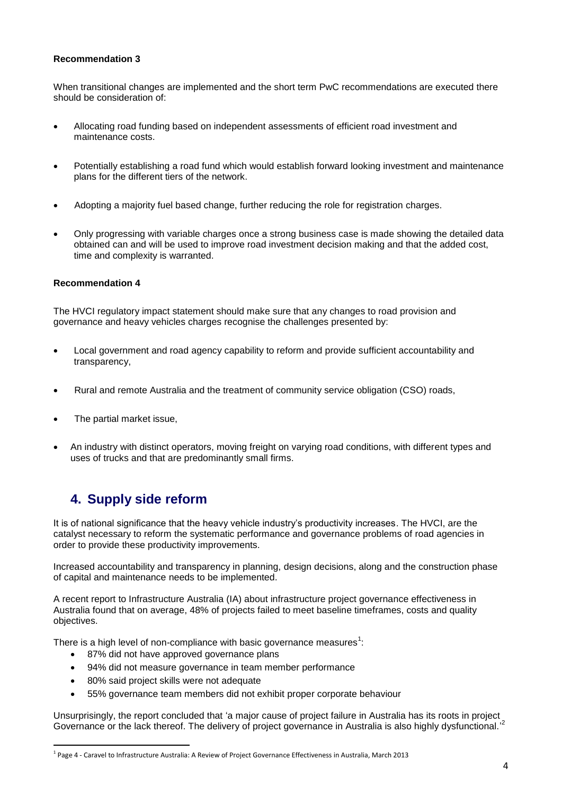#### **Recommendation 3**

When transitional changes are implemented and the short term PwC recommendations are executed there should be consideration of:

- Allocating road funding based on independent assessments of efficient road investment and maintenance costs.
- Potentially establishing a road fund which would establish forward looking investment and maintenance plans for the different tiers of the network.
- Adopting a majority fuel based change, further reducing the role for registration charges.
- Only progressing with variable charges once a strong business case is made showing the detailed data obtained can and will be used to improve road investment decision making and that the added cost, time and complexity is warranted.

#### **Recommendation 4**

The HVCI regulatory impact statement should make sure that any changes to road provision and governance and heavy vehicles charges recognise the challenges presented by:

- Local government and road agency capability to reform and provide sufficient accountability and transparency,
- Rural and remote Australia and the treatment of community service obligation (CSO) roads,
- The partial market issue,
- An industry with distinct operators, moving freight on varying road conditions, with different types and uses of trucks and that are predominantly small firms.

## **4. Supply side reform**

It is of national significance that the heavy vehicle industry's productivity increases. The HVCI, are the catalyst necessary to reform the systematic performance and governance problems of road agencies in order to provide these productivity improvements.

Increased accountability and transparency in planning, design decisions, along and the construction phase of capital and maintenance needs to be implemented.

A recent report to Infrastructure Australia (IA) about infrastructure project governance effectiveness in Australia found that on average, 48% of projects failed to meet baseline timeframes, costs and quality objectives.

There is a high level of non-compliance with basic governance measures<sup>1</sup>:

- 87% did not have approved governance plans
- 94% did not measure governance in team member performance
- 80% said project skills were not adequate
- 55% governance team members did not exhibit proper corporate behaviour

Unsurprisingly, the report concluded that 'a major cause of project failure in Australia has its roots in project Governance or the lack thereof. The delivery of project governance in Australia is also highly dysfunctional.<sup>2</sup>

 1 Page 4 - Caravel to Infrastructure Australia: A Review of Project Governance Effectiveness in Australia, March 2013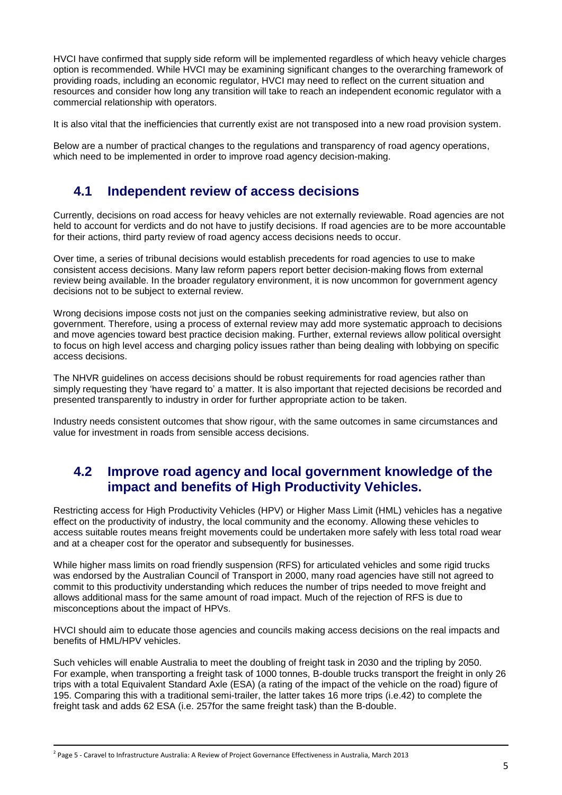HVCI have confirmed that supply side reform will be implemented regardless of which heavy vehicle charges option is recommended. While HVCI may be examining significant changes to the overarching framework of providing roads, including an economic regulator, HVCI may need to reflect on the current situation and resources and consider how long any transition will take to reach an independent economic regulator with a commercial relationship with operators.

It is also vital that the inefficiencies that currently exist are not transposed into a new road provision system.

Below are a number of practical changes to the regulations and transparency of road agency operations, which need to be implemented in order to improve road agency decision-making.

### **4.1 Independent review of access decisions**

Currently, decisions on road access for heavy vehicles are not externally reviewable. Road agencies are not held to account for verdicts and do not have to justify decisions. If road agencies are to be more accountable for their actions, third party review of road agency access decisions needs to occur.

Over time, a series of tribunal decisions would establish precedents for road agencies to use to make consistent access decisions. Many law reform papers report better decision-making flows from external review being available. In the broader regulatory environment, it is now uncommon for government agency decisions not to be subject to external review.

Wrong decisions impose costs not just on the companies seeking administrative review, but also on government. Therefore, using a process of external review may add more systematic approach to decisions and move agencies toward best practice decision making. Further, external reviews allow political oversight to focus on high level access and charging policy issues rather than being dealing with lobbying on specific access decisions.

The NHVR guidelines on access decisions should be robust requirements for road agencies rather than simply requesting they 'have regard to' a matter. It is also important that rejected decisions be recorded and presented transparently to industry in order for further appropriate action to be taken.

Industry needs consistent outcomes that show rigour, with the same outcomes in same circumstances and value for investment in roads from sensible access decisions.

### **4.2 Improve road agency and local government knowledge of the impact and benefits of High Productivity Vehicles.**

Restricting access for High Productivity Vehicles (HPV) or Higher Mass Limit (HML) vehicles has a negative effect on the productivity of industry, the local community and the economy. Allowing these vehicles to access suitable routes means freight movements could be undertaken more safely with less total road wear and at a cheaper cost for the operator and subsequently for businesses.

While higher mass limits on road friendly suspension (RFS) for articulated vehicles and some rigid trucks was endorsed by the Australian Council of Transport in 2000, many road agencies have still not agreed to commit to this productivity understanding which reduces the number of trips needed to move freight and allows additional mass for the same amount of road impact. Much of the rejection of RFS is due to misconceptions about the impact of HPVs.

HVCI should aim to educate those agencies and councils making access decisions on the real impacts and benefits of HML/HPV vehicles.

Such vehicles will enable Australia to meet the doubling of freight task in 2030 and the tripling by 2050. For example, when transporting a freight task of 1000 tonnes, B-double trucks transport the freight in only 26 trips with a total Equivalent Standard Axle (ESA) (a rating of the impact of the vehicle on the road) figure of 195. Comparing this with a traditional semi-trailer, the latter takes 16 more trips (i.e.42) to complete the freight task and adds 62 ESA (i.e. 257for the same freight task) than the B-double.

<sup>2</sup> Page 5 - Caravel to Infrastructure Australia: A Review of Project Governance Effectiveness in Australia, March 2013

1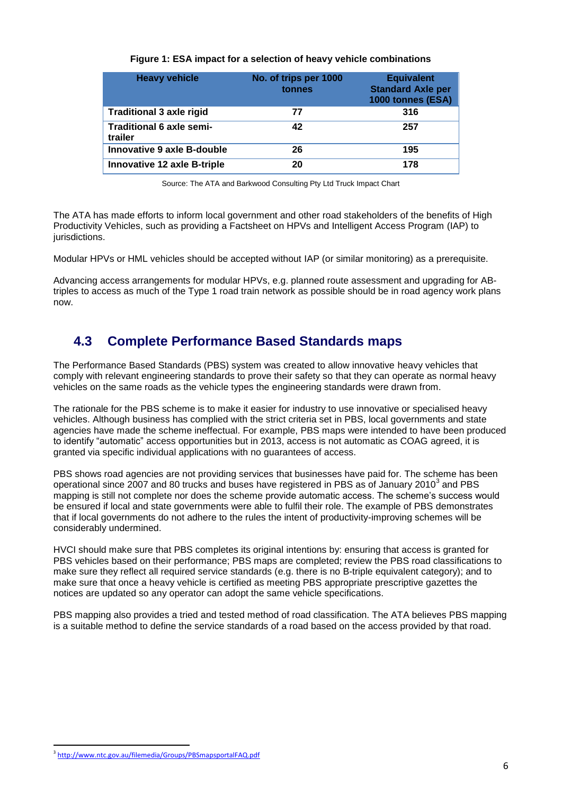| <b>Heavy vehicle</b>                       | No. of trips per 1000<br>tonnes | <b>Equivalent</b><br><b>Standard Axle per</b><br>1000 tonnes (ESA) |
|--------------------------------------------|---------------------------------|--------------------------------------------------------------------|
| <b>Traditional 3 axle rigid</b>            | 77                              | 316                                                                |
| <b>Traditional 6 axle semi-</b><br>trailer | 42                              | 257                                                                |
| Innovative 9 axle B-double                 | 26                              | 195                                                                |
| <b>Innovative 12 axle B-triple</b>         | 20                              | 178                                                                |

#### **Figure 1: ESA impact for a selection of heavy vehicle combinations**

Source: The ATA and Barkwood Consulting Pty Ltd Truck Impact Chart

The ATA has made efforts to inform local government and other road stakeholders of the benefits of High Productivity Vehicles, such as providing a Factsheet on HPVs and Intelligent Access Program (IAP) to jurisdictions.

Modular HPVs or HML vehicles should be accepted without IAP (or similar monitoring) as a prerequisite.

Advancing access arrangements for modular HPVs, e.g. planned route assessment and upgrading for ABtriples to access as much of the Type 1 road train network as possible should be in road agency work plans now.

### **4.3 Complete Performance Based Standards maps**

The Performance Based Standards (PBS) system was created to allow innovative heavy vehicles that comply with relevant engineering standards to prove their safety so that they can operate as normal heavy vehicles on the same roads as the vehicle types the engineering standards were drawn from.

The rationale for the PBS scheme is to make it easier for industry to use innovative or specialised heavy vehicles. Although business has complied with the strict criteria set in PBS, local governments and state agencies have made the scheme ineffectual. For example, PBS maps were intended to have been produced to identify "automatic" access opportunities but in 2013, access is not automatic as COAG agreed, it is granted via specific individual applications with no guarantees of access.

PBS shows road agencies are not providing services that businesses have paid for. The scheme has been operational since 2007 and 80 trucks and buses have registered in PBS as of January 2010 $^3$  and PBS mapping is still not complete nor does the scheme provide automatic access. The scheme's success would be ensured if local and state governments were able to fulfil their role. The example of PBS demonstrates that if local governments do not adhere to the rules the intent of productivity-improving schemes will be considerably undermined.

HVCI should make sure that PBS completes its original intentions by: ensuring that access is granted for PBS vehicles based on their performance; PBS maps are completed; review the PBS road classifications to make sure they reflect all required service standards (e.g. there is no B-triple equivalent category); and to make sure that once a heavy vehicle is certified as meeting PBS appropriate prescriptive gazettes the notices are updated so any operator can adopt the same vehicle specifications.

PBS mapping also provides a tried and tested method of road classification. The ATA believes PBS mapping is a suitable method to define the service standards of a road based on the access provided by that road.

<sup>1</sup> 3 <http://www.ntc.gov.au/filemedia/Groups/PBSmapsportalFAQ.pdf>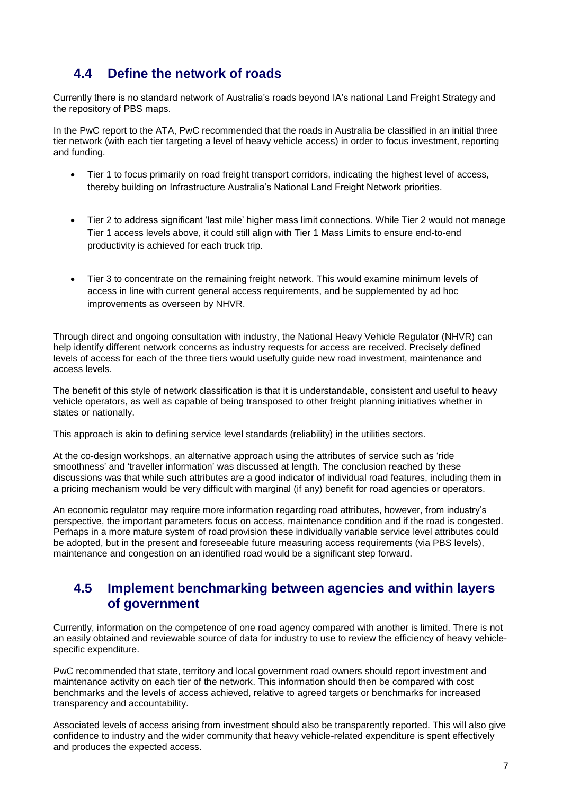## **4.4 Define the network of roads**

Currently there is no standard network of Australia's roads beyond IA's national Land Freight Strategy and the repository of PBS maps.

In the PwC report to the ATA, PwC recommended that the roads in Australia be classified in an initial three tier network (with each tier targeting a level of heavy vehicle access) in order to focus investment, reporting and funding.

- Tier 1 to focus primarily on road freight transport corridors, indicating the highest level of access, thereby building on Infrastructure Australia's National Land Freight Network priorities.
- Tier 2 to address significant 'last mile' higher mass limit connections. While Tier 2 would not manage Tier 1 access levels above, it could still align with Tier 1 Mass Limits to ensure end-to-end productivity is achieved for each truck trip.
- Tier 3 to concentrate on the remaining freight network. This would examine minimum levels of access in line with current general access requirements, and be supplemented by ad hoc improvements as overseen by NHVR.

Through direct and ongoing consultation with industry, the National Heavy Vehicle Regulator (NHVR) can help identify different network concerns as industry requests for access are received. Precisely defined levels of access for each of the three tiers would usefully guide new road investment, maintenance and access levels.

The benefit of this style of network classification is that it is understandable, consistent and useful to heavy vehicle operators, as well as capable of being transposed to other freight planning initiatives whether in states or nationally.

This approach is akin to defining service level standards (reliability) in the utilities sectors.

At the co-design workshops, an alternative approach using the attributes of service such as 'ride smoothness' and 'traveller information' was discussed at length. The conclusion reached by these discussions was that while such attributes are a good indicator of individual road features, including them in a pricing mechanism would be very difficult with marginal (if any) benefit for road agencies or operators.

An economic regulator may require more information regarding road attributes, however, from industry's perspective, the important parameters focus on access, maintenance condition and if the road is congested. Perhaps in a more mature system of road provision these individually variable service level attributes could be adopted, but in the present and foreseeable future measuring access requirements (via PBS levels), maintenance and congestion on an identified road would be a significant step forward.

#### **4.5 Implement benchmarking between agencies and within layers of government**

Currently, information on the competence of one road agency compared with another is limited. There is not an easily obtained and reviewable source of data for industry to use to review the efficiency of heavy vehiclespecific expenditure.

PwC recommended that state, territory and local government road owners should report investment and maintenance activity on each tier of the network. This information should then be compared with cost benchmarks and the levels of access achieved, relative to agreed targets or benchmarks for increased transparency and accountability.

Associated levels of access arising from investment should also be transparently reported. This will also give confidence to industry and the wider community that heavy vehicle-related expenditure is spent effectively and produces the expected access.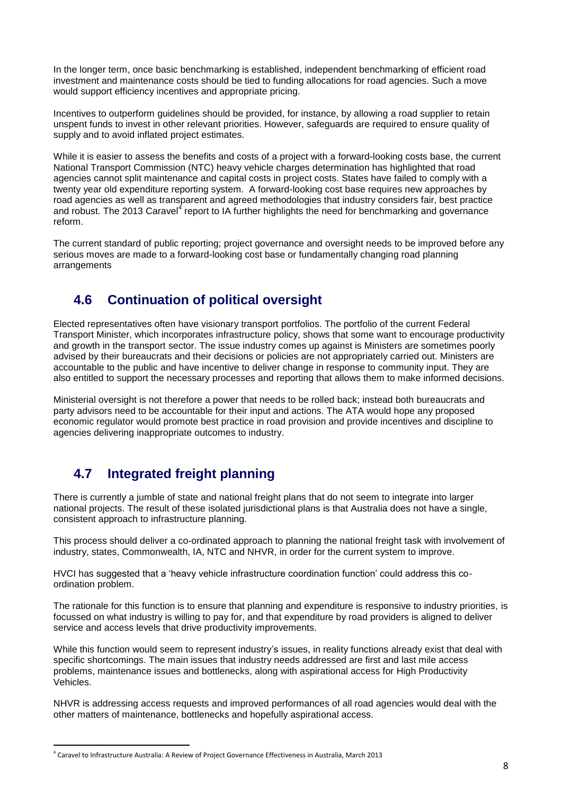In the longer term, once basic benchmarking is established, independent benchmarking of efficient road investment and maintenance costs should be tied to funding allocations for road agencies. Such a move would support efficiency incentives and appropriate pricing.

Incentives to outperform guidelines should be provided, for instance, by allowing a road supplier to retain unspent funds to invest in other relevant priorities. However, safeguards are required to ensure quality of supply and to avoid inflated project estimates.

While it is easier to assess the benefits and costs of a project with a forward-looking costs base, the current National Transport Commission (NTC) heavy vehicle charges determination has highlighted that road agencies cannot split maintenance and capital costs in project costs. States have failed to comply with a twenty year old expenditure reporting system. A forward-looking cost base requires new approaches by road agencies as well as transparent and agreed methodologies that industry considers fair, best practice and robust. The 2013 Caravel<sup>4</sup> report to IA further highlights the need for benchmarking and governance reform.

The current standard of public reporting; project governance and oversight needs to be improved before any serious moves are made to a forward-looking cost base or fundamentally changing road planning arrangements

## **4.6 Continuation of political oversight**

Elected representatives often have visionary transport portfolios. The portfolio of the current Federal Transport Minister, which incorporates infrastructure policy, shows that some want to encourage productivity and growth in the transport sector. The issue industry comes up against is Ministers are sometimes poorly advised by their bureaucrats and their decisions or policies are not appropriately carried out. Ministers are accountable to the public and have incentive to deliver change in response to community input. They are also entitled to support the necessary processes and reporting that allows them to make informed decisions.

Ministerial oversight is not therefore a power that needs to be rolled back; instead both bureaucrats and party advisors need to be accountable for their input and actions. The ATA would hope any proposed economic regulator would promote best practice in road provision and provide incentives and discipline to agencies delivering inappropriate outcomes to industry.

# **4.7 Integrated freight planning**

There is currently a jumble of state and national freight plans that do not seem to integrate into larger national projects. The result of these isolated jurisdictional plans is that Australia does not have a single, consistent approach to infrastructure planning.

This process should deliver a co-ordinated approach to planning the national freight task with involvement of industry, states, Commonwealth, IA, NTC and NHVR, in order for the current system to improve.

HVCI has suggested that a 'heavy vehicle infrastructure coordination function' could address this coordination problem.

The rationale for this function is to ensure that planning and expenditure is responsive to industry priorities, is focussed on what industry is willing to pay for, and that expenditure by road providers is aligned to deliver service and access levels that drive productivity improvements.

While this function would seem to represent industry's issues, in reality functions already exist that deal with specific shortcomings. The main issues that industry needs addressed are first and last mile access problems, maintenance issues and bottlenecks, along with aspirational access for High Productivity Vehicles.

NHVR is addressing access requests and improved performances of all road agencies would deal with the other matters of maintenance, bottlenecks and hopefully aspirational access.

1

<sup>4</sup> Caravel to Infrastructure Australia: A Review of Project Governance Effectiveness in Australia, March 2013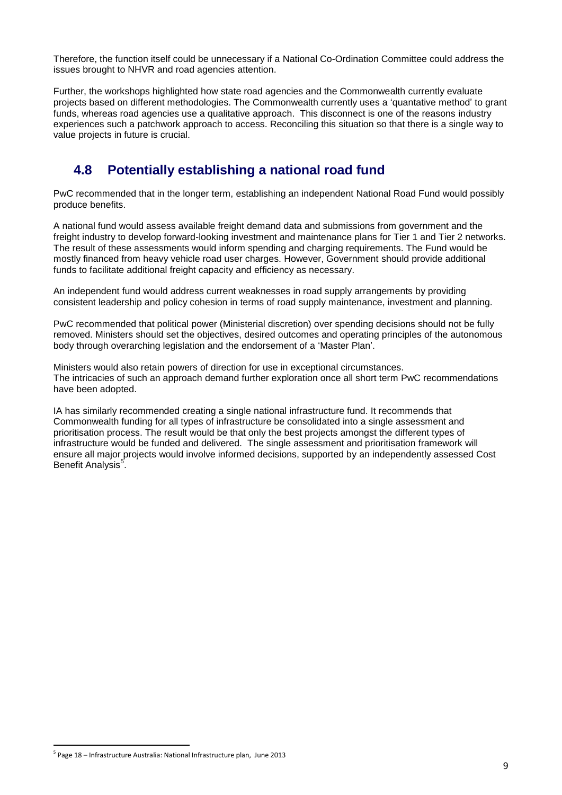Therefore, the function itself could be unnecessary if a National Co-Ordination Committee could address the issues brought to NHVR and road agencies attention.

Further, the workshops highlighted how state road agencies and the Commonwealth currently evaluate projects based on different methodologies. The Commonwealth currently uses a 'quantative method' to grant funds, whereas road agencies use a qualitative approach. This disconnect is one of the reasons industry experiences such a patchwork approach to access. Reconciling this situation so that there is a single way to value projects in future is crucial.

# **4.8 Potentially establishing a national road fund**

PwC recommended that in the longer term, establishing an independent National Road Fund would possibly produce benefits.

A national fund would assess available freight demand data and submissions from government and the freight industry to develop forward-looking investment and maintenance plans for Tier 1 and Tier 2 networks. The result of these assessments would inform spending and charging requirements. The Fund would be mostly financed from heavy vehicle road user charges. However, Government should provide additional funds to facilitate additional freight capacity and efficiency as necessary.

An independent fund would address current weaknesses in road supply arrangements by providing consistent leadership and policy cohesion in terms of road supply maintenance, investment and planning.

PwC recommended that political power (Ministerial discretion) over spending decisions should not be fully removed. Ministers should set the objectives, desired outcomes and operating principles of the autonomous body through overarching legislation and the endorsement of a 'Master Plan'.

Ministers would also retain powers of direction for use in exceptional circumstances. The intricacies of such an approach demand further exploration once all short term PwC recommendations have been adopted.

IA has similarly recommended creating a single national infrastructure fund. It recommends that Commonwealth funding for all types of infrastructure be consolidated into a single assessment and prioritisation process. The result would be that only the best projects amongst the different types of infrastructure would be funded and delivered. The single assessment and prioritisation framework will ensure all major projects would involve informed decisions, supported by an independently assessed Cost Benefit Analysis<sup>5</sup>.

1

<sup>5</sup> Page 18 – Infrastructure Australia: National Infrastructure plan, June 2013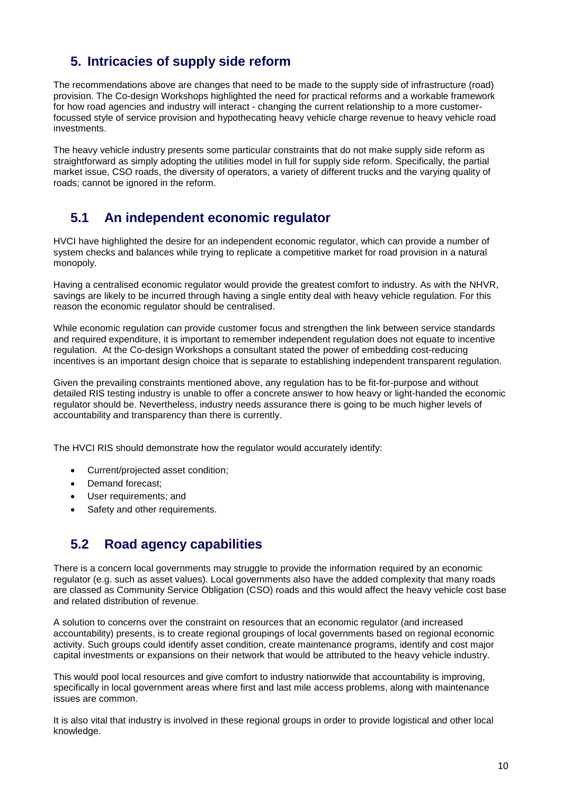## **5. Intricacies of supply side reform**

The recommendations above are changes that need to be made to the supply side of infrastructure (road) provision. The Co-design Workshops highlighted the need for practical reforms and a workable framework for how road agencies and industry will interact - changing the current relationship to a more customerfocussed style of service provision and hypothecating heavy vehicle charge revenue to heavy vehicle road investments.

The heavy vehicle industry presents some particular constraints that do not make supply side reform as straightforward as simply adopting the utilities model in full for supply side reform. Specifically, the partial market issue, CSO roads, the diversity of operators, a variety of different trucks and the varying quality of roads; cannot be ignored in the reform.

## **5.1 An independent economic regulator**

HVCI have highlighted the desire for an independent economic regulator, which can provide a number of system checks and balances while trying to replicate a competitive market for road provision in a natural monopoly.

Having a centralised economic regulator would provide the greatest comfort to industry. As with the NHVR, savings are likely to be incurred through having a single entity deal with heavy vehicle regulation. For this reason the economic regulator should be centralised.

While economic regulation can provide customer focus and strengthen the link between service standards and required expenditure, it is important to remember independent requilation does not equate to incentive regulation. At the Co-design Workshops a consultant stated the power of embedding cost-reducing incentives is an important design choice that is separate to establishing independent transparent regulation.

Given the prevailing constraints mentioned above, any regulation has to be fit-for-purpose and without detailed RIS testing industry is unable to offer a concrete answer to how heavy or light-handed the economic regulator should be. Nevertheless, industry needs assurance there is going to be much higher levels of accountability and transparency than there is currently.

The HVCI RIS should demonstrate how the regulator would accurately identify:

- Current/projected asset condition;
- Demand forecast:
- User requirements; and
- Safety and other requirements.

### **5.2 Road agency capabilities**

There is a concern local governments may struggle to provide the information required by an economic regulator (e.g. such as asset values). Local governments also have the added complexity that many roads are classed as Community Service Obligation (CSO) roads and this would affect the heavy vehicle cost base and related distribution of revenue.

A solution to concerns over the constraint on resources that an economic regulator (and increased accountability) presents, is to create regional groupings of local governments based on regional economic activity. Such groups could identify asset condition, create maintenance programs, identify and cost major capital investments or expansions on their network that would be attributed to the heavy vehicle industry.

This would pool local resources and give comfort to industry nationwide that accountability is improving, specifically in local government areas where first and last mile access problems, along with maintenance issues are common.

It is also vital that industry is involved in these regional groups in order to provide logistical and other local knowledge.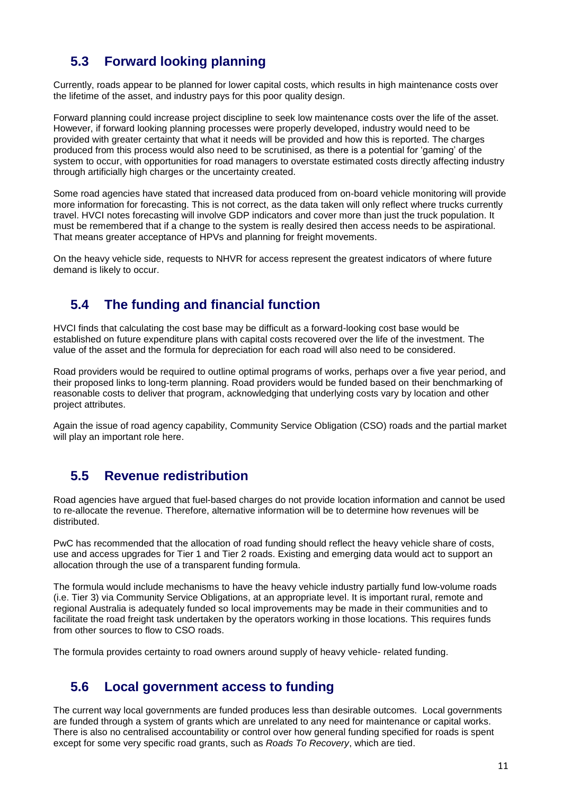# **5.3 Forward looking planning**

Currently, roads appear to be planned for lower capital costs, which results in high maintenance costs over the lifetime of the asset, and industry pays for this poor quality design.

Forward planning could increase project discipline to seek low maintenance costs over the life of the asset. However, if forward looking planning processes were properly developed, industry would need to be provided with greater certainty that what it needs will be provided and how this is reported. The charges produced from this process would also need to be scrutinised, as there is a potential for 'gaming' of the system to occur, with opportunities for road managers to overstate estimated costs directly affecting industry through artificially high charges or the uncertainty created.

Some road agencies have stated that increased data produced from on-board vehicle monitoring will provide more information for forecasting. This is not correct, as the data taken will only reflect where trucks currently travel. HVCI notes forecasting will involve GDP indicators and cover more than just the truck population. It must be remembered that if a change to the system is really desired then access needs to be aspirational. That means greater acceptance of HPVs and planning for freight movements.

On the heavy vehicle side, requests to NHVR for access represent the greatest indicators of where future demand is likely to occur.

## **5.4 The funding and financial function**

HVCI finds that calculating the cost base may be difficult as a forward-looking cost base would be established on future expenditure plans with capital costs recovered over the life of the investment. The value of the asset and the formula for depreciation for each road will also need to be considered.

Road providers would be required to outline optimal programs of works, perhaps over a five year period, and their proposed links to long-term planning. Road providers would be funded based on their benchmarking of reasonable costs to deliver that program, acknowledging that underlying costs vary by location and other project attributes.

Again the issue of road agency capability, Community Service Obligation (CSO) roads and the partial market will play an important role here.

### **5.5 Revenue redistribution**

Road agencies have argued that fuel-based charges do not provide location information and cannot be used to re-allocate the revenue. Therefore, alternative information will be to determine how revenues will be distributed.

PwC has recommended that the allocation of road funding should reflect the heavy vehicle share of costs, use and access upgrades for Tier 1 and Tier 2 roads. Existing and emerging data would act to support an allocation through the use of a transparent funding formula.

The formula would include mechanisms to have the heavy vehicle industry partially fund low-volume roads (i.e. Tier 3) via Community Service Obligations, at an appropriate level. It is important rural, remote and regional Australia is adequately funded so local improvements may be made in their communities and to facilitate the road freight task undertaken by the operators working in those locations. This requires funds from other sources to flow to CSO roads.

The formula provides certainty to road owners around supply of heavy vehicle- related funding.

#### **5.6 Local government access to funding**

The current way local governments are funded produces less than desirable outcomes. Local governments are funded through a system of grants which are unrelated to any need for maintenance or capital works. There is also no centralised accountability or control over how general funding specified for roads is spent except for some very specific road grants, such as *Roads To Recovery*, which are tied.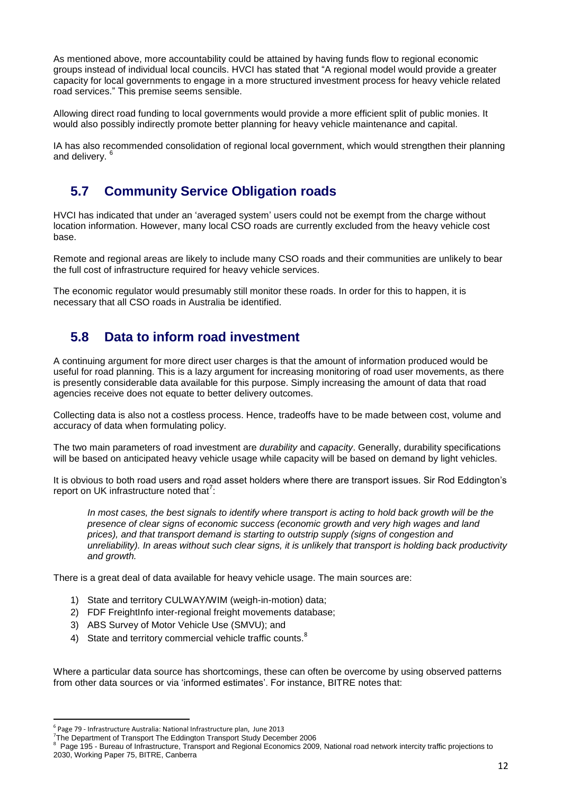As mentioned above, more accountability could be attained by having funds flow to regional economic groups instead of individual local councils. HVCI has stated that "A regional model would provide a greater capacity for local governments to engage in a more structured investment process for heavy vehicle related road services." This premise seems sensible.

Allowing direct road funding to local governments would provide a more efficient split of public monies. It would also possibly indirectly promote better planning for heavy vehicle maintenance and capital.

IA has also recommended consolidation of regional local government, which would strengthen their planning and delivery.

### **5.7 Community Service Obligation roads**

HVCI has indicated that under an 'averaged system' users could not be exempt from the charge without location information. However, many local CSO roads are currently excluded from the heavy vehicle cost base.

Remote and regional areas are likely to include many CSO roads and their communities are unlikely to bear the full cost of infrastructure required for heavy vehicle services.

The economic regulator would presumably still monitor these roads. In order for this to happen, it is necessary that all CSO roads in Australia be identified.

### **5.8 Data to inform road investment**

A continuing argument for more direct user charges is that the amount of information produced would be useful for road planning. This is a lazy argument for increasing monitoring of road user movements, as there is presently considerable data available for this purpose. Simply increasing the amount of data that road agencies receive does not equate to better delivery outcomes.

Collecting data is also not a costless process. Hence, tradeoffs have to be made between cost, volume and accuracy of data when formulating policy.

The two main parameters of road investment are *durability* and *capacity*. Generally, durability specifications will be based on anticipated heavy vehicle usage while capacity will be based on demand by light vehicles.

It is obvious to both road users and road asset holders where there are transport issues. Sir Rod Eddington's report on UK infrastructure noted that $7$ :

In most cases, the best signals to identify where transport is acting to hold back growth will be the *presence of clear signs of economic success (economic growth and very high wages and land prices), and that transport demand is starting to outstrip supply (signs of congestion and unreliability). In areas without such clear signs, it is unlikely that transport is holding back productivity and growth.*

There is a great deal of data available for heavy vehicle usage. The main sources are:

- 1) State and territory CULWAY/WIM (weigh-in-motion) data;
- 2) FDF FreightInfo inter-regional freight movements database;
- 3) ABS Survey of Motor Vehicle Use (SMVU); and
- 4) State and territory commercial vehicle traffic counts.<sup>8</sup>

Where a particular data source has shortcomings, these can often be overcome by using observed patterns from other data sources or via 'informed estimates'. For instance, BITRE notes that:

**.** 

8 Page 195 - Bureau of Infrastructure, Transport and Regional Economics 2009, National road network intercity traffic projections to 2030, Working Paper 75, BITRE, Canberra

<sup>6</sup> Page 79 - Infrastructure Australia: National Infrastructure plan, June 2013

<sup>&</sup>lt;sup>7</sup>The Department of Transport The Eddington Transport Study December 2006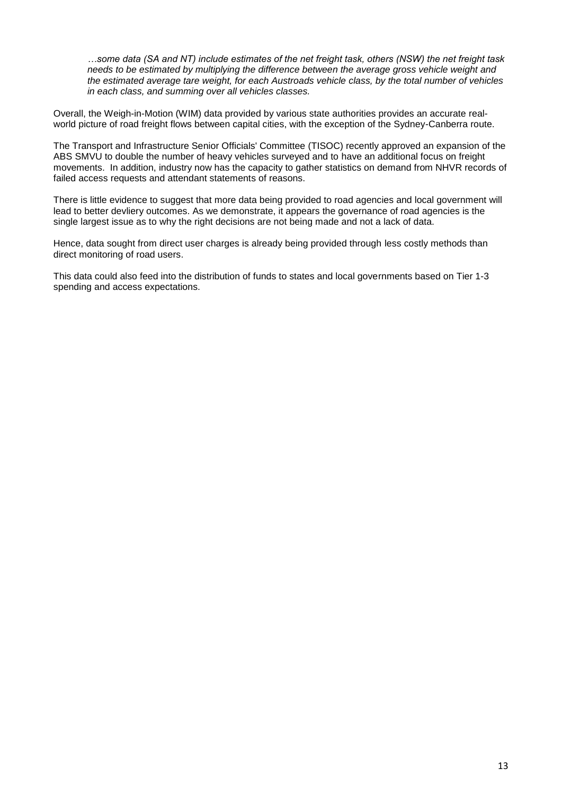*…some data (SA and NT) include estimates of the net freight task, others (NSW) the net freight task needs to be estimated by multiplying the difference between the average gross vehicle weight and the estimated average tare weight, for each Austroads vehicle class, by the total number of vehicles in each class, and summing over all vehicles classes.*

Overall, the Weigh-in-Motion (WIM) data provided by various state authorities provides an accurate realworld picture of road freight flows between capital cities, with the exception of the Sydney-Canberra route.

The Transport and Infrastructure Senior Officials' Committee (TISOC) recently approved an expansion of the ABS SMVU to double the number of heavy vehicles surveyed and to have an additional focus on freight movements. In addition, industry now has the capacity to gather statistics on demand from NHVR records of failed access requests and attendant statements of reasons.

There is little evidence to suggest that more data being provided to road agencies and local government will lead to better devliery outcomes. As we demonstrate, it appears the governance of road agencies is the single largest issue as to why the right decisions are not being made and not a lack of data.

Hence, data sought from direct user charges is already being provided through less costly methods than direct monitoring of road users.

This data could also feed into the distribution of funds to states and local governments based on Tier 1-3 spending and access expectations.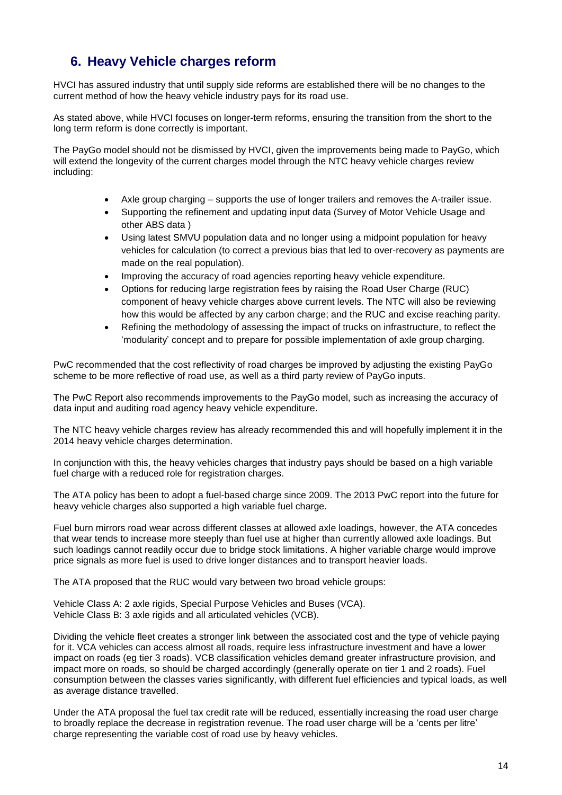# **6. Heavy Vehicle charges reform**

HVCI has assured industry that until supply side reforms are established there will be no changes to the current method of how the heavy vehicle industry pays for its road use.

As stated above, while HVCI focuses on longer-term reforms, ensuring the transition from the short to the long term reform is done correctly is important.

The PayGo model should not be dismissed by HVCI, given the improvements being made to PayGo, which will extend the longevity of the current charges model through the NTC heavy vehicle charges review including:

- Axle group charging supports the use of longer trailers and removes the A-trailer issue.
- Supporting the refinement and updating input data (Survey of Motor Vehicle Usage and other ABS data )
- Using latest SMVU population data and no longer using a midpoint population for heavy vehicles for calculation (to correct a previous bias that led to over-recovery as payments are made on the real population).
- Improving the accuracy of road agencies reporting heavy vehicle expenditure.
- Options for reducing large registration fees by raising the Road User Charge (RUC) component of heavy vehicle charges above current levels. The NTC will also be reviewing how this would be affected by any carbon charge; and the RUC and excise reaching parity.
- Refining the methodology of assessing the impact of trucks on infrastructure, to reflect the 'modularity' concept and to prepare for possible implementation of axle group charging.

PwC recommended that the cost reflectivity of road charges be improved by adjusting the existing PayGo scheme to be more reflective of road use, as well as a third party review of PayGo inputs.

The PwC Report also recommends improvements to the PayGo model, such as increasing the accuracy of data input and auditing road agency heavy vehicle expenditure.

The NTC heavy vehicle charges review has already recommended this and will hopefully implement it in the 2014 heavy vehicle charges determination.

In conjunction with this, the heavy vehicles charges that industry pays should be based on a high variable fuel charge with a reduced role for registration charges.

The ATA policy has been to adopt a fuel-based charge since 2009. The 2013 PwC report into the future for heavy vehicle charges also supported a high variable fuel charge.

Fuel burn mirrors road wear across different classes at allowed axle loadings, however, the ATA concedes that wear tends to increase more steeply than fuel use at higher than currently allowed axle loadings. But such loadings cannot readily occur due to bridge stock limitations. A higher variable charge would improve price signals as more fuel is used to drive longer distances and to transport heavier loads.

The ATA proposed that the RUC would vary between two broad vehicle groups:

Vehicle Class A: 2 axle rigids, Special Purpose Vehicles and Buses (VCA). Vehicle Class B: 3 axle rigids and all articulated vehicles (VCB).

Dividing the vehicle fleet creates a stronger link between the associated cost and the type of vehicle paying for it. VCA vehicles can access almost all roads, require less infrastructure investment and have a lower impact on roads (eg tier 3 roads). VCB classification vehicles demand greater infrastructure provision, and impact more on roads, so should be charged accordingly (generally operate on tier 1 and 2 roads). Fuel consumption between the classes varies significantly, with different fuel efficiencies and typical loads, as well as average distance travelled.

Under the ATA proposal the fuel tax credit rate will be reduced, essentially increasing the road user charge to broadly replace the decrease in registration revenue. The road user charge will be a 'cents per litre' charge representing the variable cost of road use by heavy vehicles.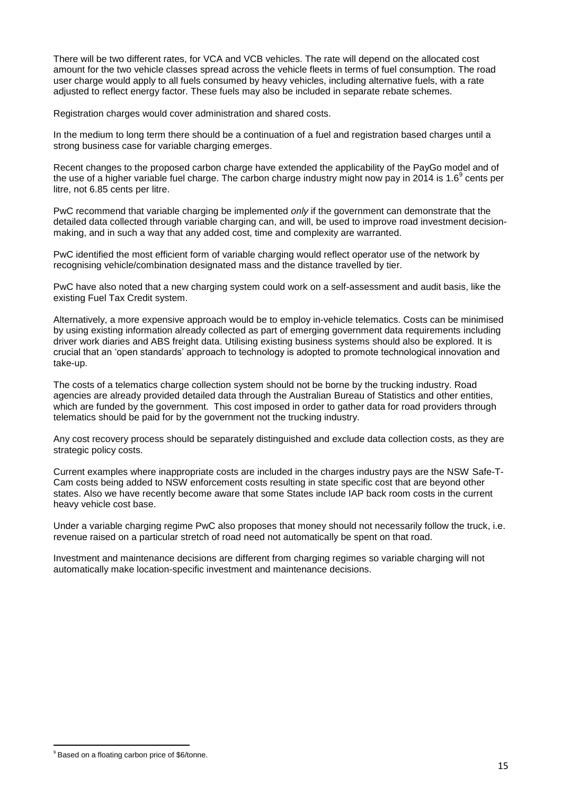There will be two different rates, for VCA and VCB vehicles. The rate will depend on the allocated cost amount for the two vehicle classes spread across the vehicle fleets in terms of fuel consumption. The road user charge would apply to all fuels consumed by heavy vehicles, including alternative fuels, with a rate adjusted to reflect energy factor. These fuels may also be included in separate rebate schemes.

Registration charges would cover administration and shared costs.

In the medium to long term there should be a continuation of a fuel and registration based charges until a strong business case for variable charging emerges.

Recent changes to the proposed carbon charge have extended the applicability of the PayGo model and of the use of a higher variable fuel charge. The carbon charge industry might now pay in 2014 is 1.6<sup>9</sup> cents per litre, not 6.85 cents per litre.

PwC recommend that variable charging be implemented *only* if the government can demonstrate that the detailed data collected through variable charging can, and will, be used to improve road investment decisionmaking, and in such a way that any added cost, time and complexity are warranted.

PwC identified the most efficient form of variable charging would reflect operator use of the network by recognising vehicle/combination designated mass and the distance travelled by tier.

PwC have also noted that a new charging system could work on a self-assessment and audit basis, like the existing Fuel Tax Credit system.

Alternatively, a more expensive approach would be to employ in-vehicle telematics. Costs can be minimised by using existing information already collected as part of emerging government data requirements including driver work diaries and ABS freight data. Utilising existing business systems should also be explored. It is crucial that an 'open standards' approach to technology is adopted to promote technological innovation and take-up.

The costs of a telematics charge collection system should not be borne by the trucking industry. Road agencies are already provided detailed data through the Australian Bureau of Statistics and other entities, which are funded by the government. This cost imposed in order to gather data for road providers through telematics should be paid for by the government not the trucking industry.

Any cost recovery process should be separately distinguished and exclude data collection costs, as they are strategic policy costs.

Current examples where inappropriate costs are included in the charges industry pays are the NSW Safe-T-Cam costs being added to NSW enforcement costs resulting in state specific cost that are beyond other states. Also we have recently become aware that some States include IAP back room costs in the current heavy vehicle cost base.

Under a variable charging regime PwC also proposes that money should not necessarily follow the truck, i.e. revenue raised on a particular stretch of road need not automatically be spent on that road.

Investment and maintenance decisions are different from charging regimes so variable charging will not automatically make location-specific investment and maintenance decisions.

<sup>1</sup> <sup>9</sup> Based on a floating carbon price of \$6/tonne.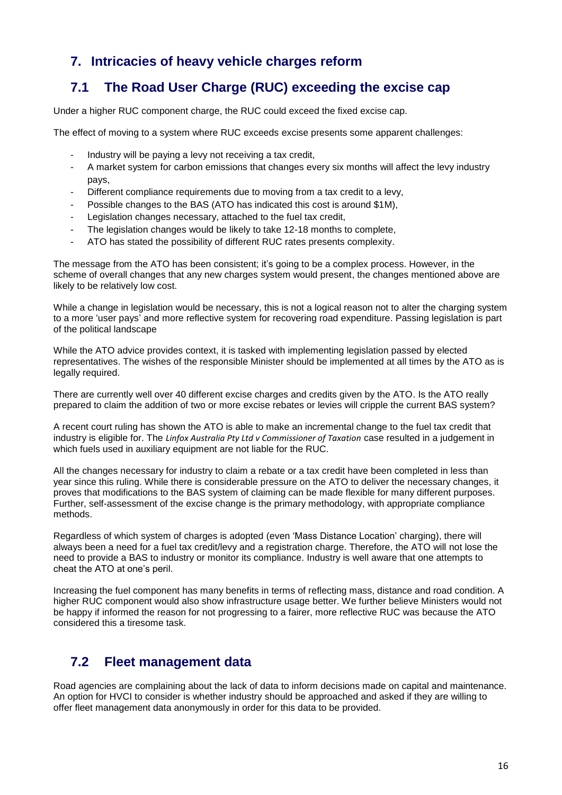## **7. Intricacies of heavy vehicle charges reform**

## **7.1 The Road User Charge (RUC) exceeding the excise cap**

Under a higher RUC component charge, the RUC could exceed the fixed excise cap.

The effect of moving to a system where RUC exceeds excise presents some apparent challenges:

- Industry will be paying a levy not receiving a tax credit,
- A market system for carbon emissions that changes every six months will affect the levy industry pays,
- Different compliance requirements due to moving from a tax credit to a levy,
- Possible changes to the BAS (ATO has indicated this cost is around \$1M),
- Legislation changes necessary, attached to the fuel tax credit,
- The legislation changes would be likely to take 12-18 months to complete,
- ATO has stated the possibility of different RUC rates presents complexity.

The message from the ATO has been consistent; it's going to be a complex process. However, in the scheme of overall changes that any new charges system would present, the changes mentioned above are likely to be relatively low cost.

While a change in legislation would be necessary, this is not a logical reason not to alter the charging system to a more 'user pays' and more reflective system for recovering road expenditure. Passing legislation is part of the political landscape

While the ATO advice provides context, it is tasked with implementing legislation passed by elected representatives. The wishes of the responsible Minister should be implemented at all times by the ATO as is legally required.

There are currently well over 40 different excise charges and credits given by the ATO. Is the ATO really prepared to claim the addition of two or more excise rebates or levies will cripple the current BAS system?

A recent court ruling has shown the ATO is able to make an incremental change to the fuel tax credit that industry is eligible for. The *[Linfox Australia Pty Ltd v Commissioner of Taxation](http://www.austlii.edu.au/au/cases/cth/AATA/2012/517.html)* case resulted in a judgement in which fuels used in auxiliary equipment are not liable for the RUC.

All the changes necessary for industry to claim a rebate or a tax credit have been completed in less than year since this ruling. While there is considerable pressure on the ATO to deliver the necessary changes, it proves that modifications to the BAS system of claiming can be made flexible for many different purposes. Further, self-assessment of the excise change is the primary methodology, with appropriate compliance methods.

Regardless of which system of charges is adopted (even 'Mass Distance Location' charging), there will always been a need for a fuel tax credit/levy and a registration charge. Therefore, the ATO will not lose the need to provide a BAS to industry or monitor its compliance. Industry is well aware that one attempts to cheat the ATO at one's peril.

Increasing the fuel component has many benefits in terms of reflecting mass, distance and road condition. A higher RUC component would also show infrastructure usage better. We further believe Ministers would not be happy if informed the reason for not progressing to a fairer, more reflective RUC was because the ATO considered this a tiresome task.

### **7.2 Fleet management data**

Road agencies are complaining about the lack of data to inform decisions made on capital and maintenance. An option for HVCI to consider is whether industry should be approached and asked if they are willing to offer fleet management data anonymously in order for this data to be provided.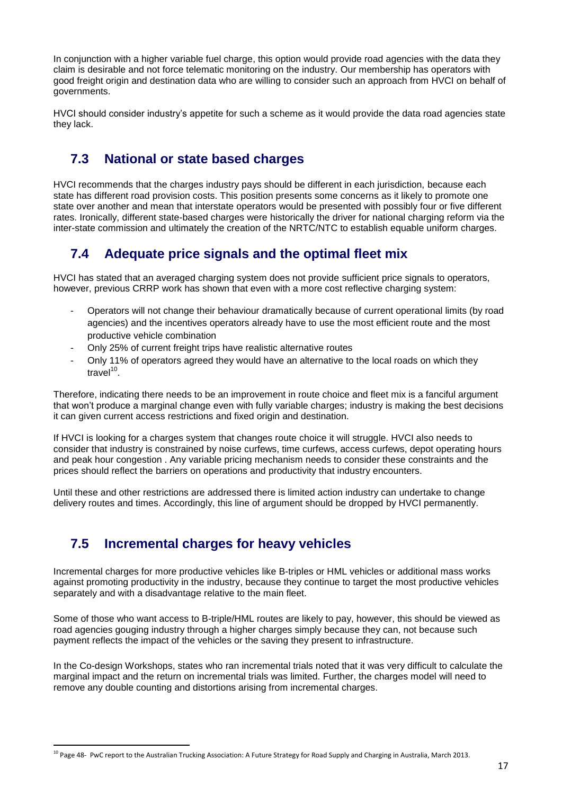In conjunction with a higher variable fuel charge, this option would provide road agencies with the data they claim is desirable and not force telematic monitoring on the industry. Our membership has operators with good freight origin and destination data who are willing to consider such an approach from HVCI on behalf of governments.

HVCI should consider industry's appetite for such a scheme as it would provide the data road agencies state they lack.

## **7.3 National or state based charges**

HVCI recommends that the charges industry pays should be different in each jurisdiction, because each state has different road provision costs. This position presents some concerns as it likely to promote one state over another and mean that interstate operators would be presented with possibly four or five different rates. Ironically, different state-based charges were historically the driver for national charging reform via the inter-state commission and ultimately the creation of the NRTC/NTC to establish equable uniform charges.

### **7.4 Adequate price signals and the optimal fleet mix**

HVCI has stated that an averaged charging system does not provide sufficient price signals to operators, however, previous CRRP work has shown that even with a more cost reflective charging system:

- Operators will not change their behaviour dramatically because of current operational limits (by road agencies) and the incentives operators already have to use the most efficient route and the most productive vehicle combination
- Only 25% of current freight trips have realistic alternative routes
- Only 11% of operators agreed they would have an alternative to the local roads on which they travel<sup>10</sup>.

Therefore, indicating there needs to be an improvement in route choice and fleet mix is a fanciful argument that won't produce a marginal change even with fully variable charges; industry is making the best decisions it can given current access restrictions and fixed origin and destination.

If HVCI is looking for a charges system that changes route choice it will struggle. HVCI also needs to consider that industry is constrained by noise curfews, time curfews, access curfews, depot operating hours and peak hour congestion . Any variable pricing mechanism needs to consider these constraints and the prices should reflect the barriers on operations and productivity that industry encounters.

Until these and other restrictions are addressed there is limited action industry can undertake to change delivery routes and times. Accordingly, this line of argument should be dropped by HVCI permanently.

### **7.5 Incremental charges for heavy vehicles**

1

Incremental charges for more productive vehicles like B-triples or HML vehicles or additional mass works against promoting productivity in the industry, because they continue to target the most productive vehicles separately and with a disadvantage relative to the main fleet.

Some of those who want access to B-triple/HML routes are likely to pay, however, this should be viewed as road agencies gouging industry through a higher charges simply because they can, not because such payment reflects the impact of the vehicles or the saving they present to infrastructure.

In the Co-design Workshops, states who ran incremental trials noted that it was very difficult to calculate the marginal impact and the return on incremental trials was limited. Further, the charges model will need to remove any double counting and distortions arising from incremental charges.

<sup>&</sup>lt;sup>10</sup> Page 48- PwC report to the Australian Trucking Association: A Future Strategy for Road Supply and Charging in Australia, March 2013.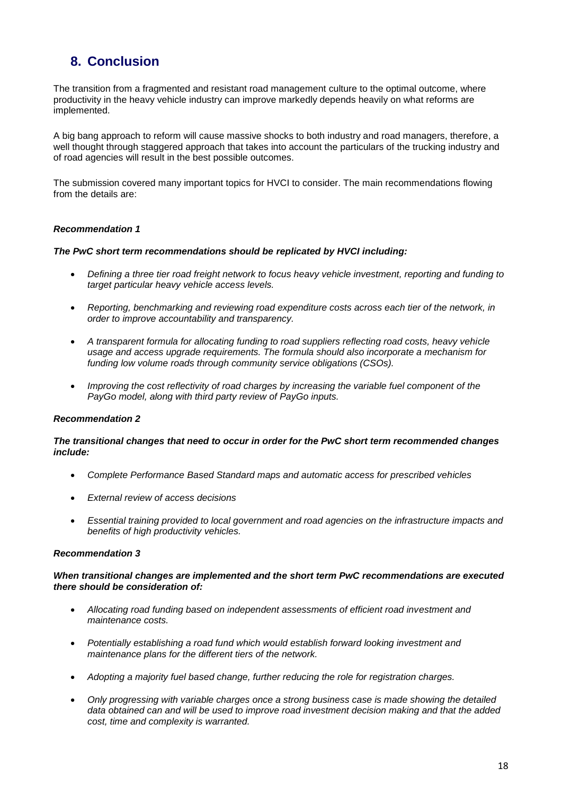## **8. Conclusion**

The transition from a fragmented and resistant road management culture to the optimal outcome, where productivity in the heavy vehicle industry can improve markedly depends heavily on what reforms are implemented.

A big bang approach to reform will cause massive shocks to both industry and road managers, therefore, a well thought through staggered approach that takes into account the particulars of the trucking industry and of road agencies will result in the best possible outcomes.

The submission covered many important topics for HVCI to consider. The main recommendations flowing from the details are:

#### *Recommendation 1*

#### *The PwC short term recommendations should be replicated by HVCI including:*

- *Defining a three tier road freight network to focus heavy vehicle investment, reporting and funding to target particular heavy vehicle access levels.*
- *Reporting, benchmarking and reviewing road expenditure costs across each tier of the network, in order to improve accountability and transparency.*
- *A transparent formula for allocating funding to road suppliers reflecting road costs, heavy vehicle usage and access upgrade requirements. The formula should also incorporate a mechanism for funding low volume roads through community service obligations (CSOs).*
- *Improving the cost reflectivity of road charges by increasing the variable fuel component of the PayGo model, along with third party review of PayGo inputs.*

#### *Recommendation 2*

#### *The transitional changes that need to occur in order for the PwC short term recommended changes include:*

- *Complete Performance Based Standard maps and automatic access for prescribed vehicles*
- *External review of access decisions*
- *Essential training provided to local government and road agencies on the infrastructure impacts and benefits of high productivity vehicles.*

#### *Recommendation 3*

#### *When transitional changes are implemented and the short term PwC recommendations are executed there should be consideration of:*

- *Allocating road funding based on independent assessments of efficient road investment and maintenance costs.*
- *Potentially establishing a road fund which would establish forward looking investment and maintenance plans for the different tiers of the network.*
- *Adopting a majority fuel based change, further reducing the role for registration charges.*
- *Only progressing with variable charges once a strong business case is made showing the detailed data obtained can and will be used to improve road investment decision making and that the added cost, time and complexity is warranted.*